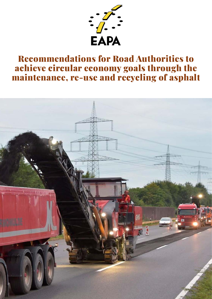

# Recommendations for Road Authorities to achieve circular economy goals through the maintenance, re-use and recycling of asphalt

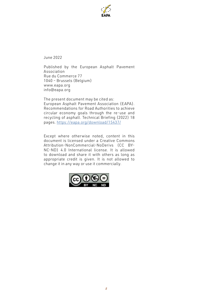

June 2022

Published by the European Asphalt Pavement Association Rue du Commerce 77 1040 – Brussels (Belgium) www.eapa.org info@eapa.org

The present document may be cited as: European Asphalt Pavement Association (EAPA). Recommendations for Road Authorities to achieve circular economy goals through the re-use and recycling of asphalt. Technical Briefing (2022) 18 pages.<https://eapa.org/download/15437/>

Except where otherwise noted, content in this document is licensed under a Creative Commons Attribution-NonCommercial-NoDerivs (CC BY-NC-ND) 4.0 International license. It is allowed to download and share it with others as long as appropriate credit is given. It is not allowed to change it in any way or use it commercially.

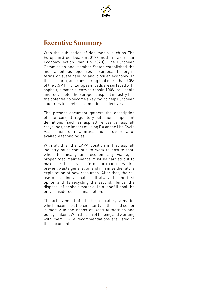

### **Executive Summary**

With the publication of documents, such as The European Green Deal (in 2019) and the new Circular Economy Action Plan (in 2020), The European Commission and Member States established the most ambitious objectives of European history in terms of sustainability and circular economy. In this scenario, and considering that more than 90% of the 5,5M km of European roads are surfaced with asphalt, a material easy to repair, 100% re-usable and recyclable, the European asphalt industry has the potential to become a key tool to help European countries to meet such ambitious objectives.

The present document gathers the description of the current regulatory situation, important definitions (such as asphalt re-use vs. asphalt recycling), the impact of using RA on the Life Cycle Assessment of new mixes and an overview of available technologies.

With all this, the EAPA position is that asphalt industry must continue to work to ensure that, when technically and economically viable, a proper road maintenance must be carried out to maximise the service life of our road networks, prevent waste generation and minimise the future exploitation of new resources. After that, the reuse of existing asphalt shall always be the first option and its recycling the second. Hence, the disposal of asphalt material in a landfill shall be only considered as a final option.

The achievement of a better regulatory scenario, which maximises the circularity in the road sector is mostly in the hands of Road Authorities and policy makers. With the aim of helping and working with them, EAPA recommendations are listed in this document.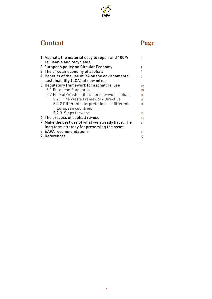

# **Content**

# **Page**

| 1. Asphalt, the material easy to repair and 100%<br>re-usable and recyclable | 5  |
|------------------------------------------------------------------------------|----|
| 2 European policy on Circular Economy                                        | 5  |
| 3. The circular economy of asphalt                                           | 6  |
| 4. Benefits of the use of RA on the environmental                            | 0  |
| sustainability (LCA) of new mixes                                            |    |
| 5. Regulatory framework for asphalt re-use                                   | 10 |
| 5.1 European Standards                                                       | 10 |
| 5.2 End-of-Waste criteria for site-won asphalt                               | 11 |
| 5.2.1 The Waste Framework Directive                                          | 11 |
| 5.2.2 Different interpretations in different                                 | 11 |
| European countries                                                           |    |
| 5.2.3 Steps forward                                                          | 12 |
| 6. The process of asphalt re-use                                             | 13 |
| 7. Make the best use of what we already have. The                            | 15 |
| long term strategy for preserving the asset                                  |    |
| 8. EAPA recommendations                                                      | 15 |
| 9. References                                                                | 17 |
|                                                                              |    |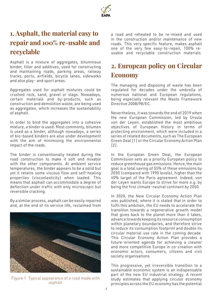

# **1. Asphalt, the material easy to repair and 100% re-usable and recyclable**

Asphalt is a mixture of aggregates, bituminous binder, filler and additives, used for constructing and maintaining roads, parking areas, railway tracks, ports, airfields, bicycle lanes, sidewalks and also play- and sport areas.

Aggregates used for asphalt mixtures could be crushed rock, sand, gravel or slags. Nowadays, certain materials and by-products, such as construction and demolition waste, are being used as aggregates, which increases the sustainability of asphalt.

In order to bind the aggregates into a cohesive mixture, a binder is used. Most commonly, bitumen is used as a binder, although nowadays, a series of bio-based binders are also under development with the aim of minimising the environmental impact of the roads.

The binder is conventionally heated during the road construction to make it soft and mixable with the other components. At ambient service temperatures, the binder appears to be a solid but yet it retains some viscous flow and self-healing properties (viscoelasticity) when loaded. This means that asphalt can accommodate a degree of deflection under traffic with only microscopic but reversible cracking.

By a similar process, asphalt can be easily repaired and, at the end of its service life, reclaimed from



Figure 1. Typical appearance of a road made with asphalt

a road and reheated to be re-mixed and used in the construction and/or maintenance of new roads. This very specific feature, makes asphalt one of the very few easy-to-repair, 100% reusable and recyclable construction materials.

# **2. European policy on Circular Economy**

The managing and disposing of waste has been regulated for decades under the umbrella of numerous national and European regulations, being especially relevant the Waste Framework Directive 2008/98/EC.

Nevertheless, it was towards the end of 2019 when the new European Commission, led by Ursula von der Leyen, established the most ambitious objectives of European history in terms of protecting environment, which were included in a series of related documents, such as The European Green Deal [1] or the Circular Economy Action Plan [2].

In the European Green Deal, the European Commission sets as a priority European policy to reduce greenhouse gas emissions. Hence, the main goal is a total saving of 55% of these emissions by 2030 (compared with 1990 levels), higher than the 40% target of the Paris agreement. Indeed, von der Leyen wants Europe to strive for more e.g. by being the first climate-neutral continent by 2050.

In 2020, the New Circular Economy Action Plan was published, where it is stated that in order to fulfil this ambition, the EU needs to accelerate the transition towards a regenerative growth model that gives back to the planet more than it takes, advance towards keeping its resource consumption within planetary boundaries, and therefore strive to reduce its consumption footprint and double its circular material use rate in the coming decade. This Circular Economy Action Plan provides a future-oriented agenda for achieving a cleaner and more competitive Europe in co-creation with economic actors, consumers, citizens and civil society organisations.

This progressive, yet irreversible transition to a sustainable economic system is an indispensable part of the new EU industrial strategy. A recent study estimates that applying circular economy principles across the EU economy has the potential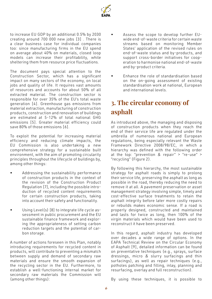

to increase EU GDP by an additional 0.5% by 2030 creating around 700 000 new jobs [3] . There is a clear business case for individual companies too: since manufacturing firms in the EU spend on average about 40% on materials, closed loop models can increase their profitability, while sheltering them from resource price fluctuations.

The document pays special attention to the Construction Sector, which has a significant impact on many sectors of the economy, on local jobs and quality of life. It requires vast amounts of resources and accounts for about 50% of all extracted material. The construction sector is responsible for over 35% of the EU's total waste generation [4]. Greenhouse gas emissions from material extraction, manufacturing of construction products, construction and renovation of buildings are estimated at 5-12% of total national GHG emissions [5]. Greater material efficiency could save 80% of those emissions [6].

To exploit the potential for increasing material efficiency and reducing climate impacts, the EU Commission is also undertaking a new comprehensive strategy for a sustainable built environment, with the aim of promoting circularity principles throughout the lifecycle of buildings by, among other things:

- Addressing the sustainability performance of construction products in the context of the revision of the Construction Product Regulation [7], including the possible introduction of recycled content requirements for certain construction products, taking into account their safety and functionality.
- Using Level(s) [8] to integrate life cycle assessment in public procurement and the EU sustainable finance framework and exploring the appropriateness of setting carbon reduction targets and the potential of carbon storage.

A number of actions foreseen in this Plan, notably introducing requirements for recycled content in products, will contribute to preventing a mismatch between supply and demand of secondary raw materials and ensure the smooth expansion of the recycling sector in the EU. Furthermore, to establish a well-functioning internal market for secondary raw materials the Commission will (among other things):

- Assess the scope to develop further EUwide end-of-waste criteria for certain waste streams based on monitoring Member States' application of the revised rules on end-of-waste status and by-products, and support cross-border initiatives for cooperation to harmonise national end-of-waste and by-product criteria.
- Enhance the role of standardisation based on the on-going assessment of existing standardisation work at national, European and international levels.

# **3. The circular economy of asphalt**

As introduced above, the managing and disposing of construction products when they reach the end of their service life are regulated under the umbrella of numerous national and European regulations, being especially relevant the Waste Framework Directive 2008/98/EC, in which a hierarchy was defined with the following order at the top: "prevention  $&$  repair" > "re-use" > "recycling" (Figure 2).

By following this hierarchy, the most sustainable strategy for asphalt roads is simply to prolong their service life, preserving the asphalt as long as possible in the road, thereby reducing the need to remove it at all. A pavement preservation or asset management strategy involving simple, timely and cost-effective surface treatments to retain the asphalt integrity before later more costly repairs or rebuilds makes economic sense. If a road is properly designed, constructed and maintained and lasts for twice as long, then 100% of the virgin materials which would have been used to reconstruct it have been preserved.

In this regard, asphalt industry has developed over decades a wide range of options. In the EAPA Technical Review on the Circular Economy of Asphalt [9], detailed information can be found on preventative techniques (e.g., sprays, surface dressings, micro & slurry surfacings and thin surfacings), as well as repair techniques (e.g., potholes patching and filling, inlay, planning and resurfacing, overlay and full reconstruction).

By using these techniques, it is possible to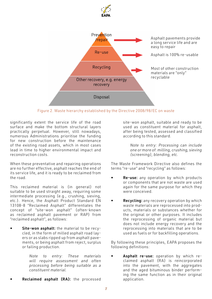

Figure 2. Waste hierarchy established by the Directive 2008/98/EC on waste

significantly extent the service life of the road surface and make the bottom structural layers practically perpetual. However, still nowadays, numerous Administrations prioritise the funding for new construction before the maintenance of the existing road assets, which in most cases lead in time to higher environmental impact and reconstruction costs.

When these preventative and repairing operations are no further effective, asphalt reaches the end of its service life, and it is ready to be reclaimed from the road.

This reclaimed material is (in general) not suitable to be used straight away, requiring some intermediate processing (e.g., crushing, sieving, etc.). Hence, the Asphalt Product Standard EN 13108-8 "Reclaimed Asphalt" differentiates the concept of "site-won asphalt" (often-known as reclaimed asphalt pavement or RAP) from "reclaimed asphalt", as follows:

Site-won asphalt: the material to be recycled, in the form of milled asphalt road layers or as slabs ripped up from asphalt pavements, or being asphalt from reject, surplus or failing production.

> *Note to entry: These materials will require assessment and often processing before being suitable as a constituent material.*

Reclaimed asphalt (RA): the processed

site-won asphalt, suitable and ready to be used as constituent material for asphalt, after being tested, assessed and classified according to this standard.

*Note to entry: Processing can include one or more of: milling, crushing, sieving (screening), blending, etc.*

The Waste Framework Directive also defines the terms "re-use" and "recycling" as follows:

- Re-use: any operation by which products or components that are not waste are used again for the same purpose for which they were conceived.
- **Recycling:** any recovery operation by which waste materials are reprocessed into products, materials or substances whether for the original or other purposes. It includes the reprocessing of organic material but does not include energy recovery and the reprocessing into materials that are to be used as fuels or for backfilling operations.

By following these principles, EAPA proposes the following definitions:

• Asphalt re-use: operation by which reclaimed asphalt (RA) is reincorporated into the pavement, with the aggregates and the aged bituminous binder performing the same function as in their original application.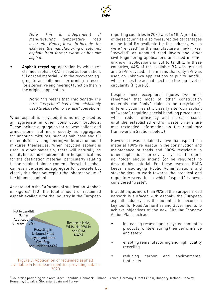

*Note: This is independent of manufacturing temperature, road layer, etc. Hence, it would include, for example, the manufacturing of cold mix asphalt from former warm or hot mix asphalt.* 

Asphalt recycling: operation by which reclaimed asphalt (RA) is used as foundation, fill or road material, with the recovered aggregate and bitumen performing a lesser (or alternative engineering) function than in the original application.

> *Note: This means that, traditionally, the term "recycling" has been mistakenly used to also refer to "re-use" operations.*

When asphalt is recycled, it is normally used as an aggregate in other construction products. These include aggregates for railway ballast and armourstone, but more usually as aggregates for unbound mixtures, such as sub-base and fill materials for civil engineering works or as unbound mixtures themselves. When recycled asphalt is used in other materials, there will naturally be quality limits and requirements in the specifications for the destination material, particularly relating to the retained binder content. Recycled asphalt can even be used as aggregate for concrete but clearly this does not exploit the inherent value of the bitumen content.

As detailed in the EAPA annual publication "Asphalt in Figures" [10] the total amount of reclaimed asphalt available for the industry in the European



#### available in European countries providing data in 2020

reporting countries in 2020 was 46 Mt. A great deal of these countries also measured the percentages of the total RA available for the industry, which were "re-used" for the manufacture of new mixes, "recycled" as unbound road layers and other civil Engineering applications and used in other unknown applications or put to landfill. In these countries, 64% of the available RA was re-used and 33% recycled. This means that only 3% was used on unknown applications or put to landfill, which raises the asphalt sector to the top level of circularity (Figure 3).

Despite these exceptional figures (we must remember that most of other construction materials can "only" claim to be recyclable), different countries still classify site-won asphalt as "waste", requiring special handling procedures, which reduce efficiency and increase costs, until the established end-of-waste criteria are met (extended information on the regulatory framework in Sections below).

However, it was explained above that asphalt is a material 100% re-usable in the construction and maintenance of roads and 100% recyclable in other applications for several cycles. Therefore, no holder should intend (or be required) to discard this material. For these reasons, EAPA keeps encouraging Public Administrations and stakeholders to work towards the practical and regulatory scenario, in which "asphalt" is never considered "waste".

In addition, as more than 90% of the European road network is surfaced with asphalt, the European asphalt industry has the potential to become a key tool for Road Authorities and Governments to achieve objectives of the new Circular Economy Action Plan, such as:

- increasing re-used and recycled content in products, while ensuring their performance and safety
- enabling remanufacturing and high-quality recycling
- reducing carbon and environmental footprints

1 Countries providing data are: Czech Republic, Denmark, Finland, France, Germany, Great Britain, Hungary, Ireland, Norway, Romania, Slovakia, Slovenia, Spain and Turkey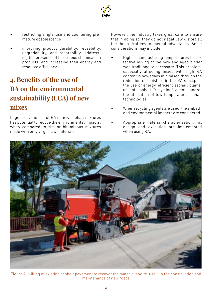

- restricting single-use and countering premature obsolescence
- improving product durability, reusability, upgradability, and reparability, addressing the presence of hazardous chemicals in products, and increasing their energy and resource efficiency.

### **4. Benefits of the use of RA on the environmental sustainability (LCA) of new mixes**

In general, the use of RA in new asphalt mixtures has potential to reduce the environmental impacts, when compared to similar bituminous mixtures made with only virgin raw materials.

However, the industry takes great care to ensure that in doing so, they do not negatively distort all the theoretical environmental advantages. Some considerations may include:

- Higher manufacturing temperatures for effective mixing of the new and aged binder was traditionally necessary. This problem, especially affecting mixes with high RA content is nowadays minimised through the reduction of moisture in the RA stockpile, the use of energy-efficient asphalt plants, use of asphalt "recycling" agents and/or the utilisation of low temperature asphalt technologies.
- When recycling agents are used, the embedded environmental impacts are considered.
- Appropriate material characterisation, mix design and execution are implemented when using RA.



Figure 4. Milling of existing asphalt pavement to recover the material and re-use it in the construction and maintenance of new roads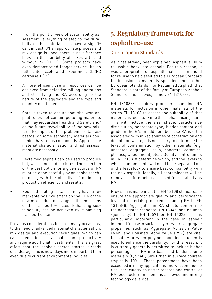

- From the point of view of sustainability assessment, everything related to the durability of the materials can have a significant impact. When appropriate process and mix design is used, there is no difference between the durability of mixes with and without RA [11-13]. Some projects have even demonstrated longer service life on full scale accelerated experiment (LCPC carrousel) [14].
- A more efficient use of resources can be achieved from selective milling operations and classifying the RA according to the nature of the aggregate and the type and quantity of bitumen.
- Care is taken to ensure that site-won asphalt does not contain polluting materials that may jeopardise Health and Safety and/ or the future recyclability of the new mixture. Examples of this problem are tar, asbestos, or some secondary materials containing hazardous compounds. Appropriate material characterisation and risk assessment are necessary.
- Reclaimed asphalt can be used to produce hot, warm and cold mixtures. The selection of the best option for a given source of RA must be done carefully by an asphalt technologist, with the objective of optimising production efficiency and results.
- Reduced hauling distances may have a remarkable positive effect on the LCA of the new mixes, due to savings in the emissions of the transport vehicles. Enhancing sustainability can be achieved by minimising transport distances.

Previous considerations lead, on many occasions, to the need of advanced material characterisation, mix design and execution techniques, which can cause reductions in asphalt plant productivity and require additional investments. This is a great effort that the asphalt sector started already decades ago and is nowadays more important than ever, due to current environmental policies.

### **5. Regulatory framework for asphalt re-use**

#### 5.1 European Standards

As it has already been explained, asphalt is 100% re-usable back into asphalt. For this reason, it was appropriate for asphalt materials intended for re-use to be classified to a European Standard for inclusion in materials specified under other European Standards. For Reclaimed Asphalt, that Standard is part of the family of European Asphalt Standards themselves, namely EN 13108-8.

EN 13108-8 requires producers handling RA materials for inclusion in other materials of the series EN 13108 to assess the suitability of that material as feedstock into the asphalt mixing plant. This will include the size, shape, particle size distribution, aggregate type, binder content and grade in the RA. In addition, because RA is often associated with mixed sources of construction and demolition waste, it is necessary to determine the level of contamination by other materials (e.g. uncoated aggregate, soils, concrete, ceramics, plastics, wood, metal, etc.). Quality control limits in EN 13108-8 determine which, and the levels to which, contaminants will need to be separated out of the feedstock to ensure best compatibility with the new asphalt. Ideally, all contaminants will be removed before being assessed for suitability as RA.

Provision is made in all the EN 13108 standards to ensure the appropriate quality and performance level of materials produced including RA to EN 13108-8. Aggregates in RA should conform to the aggregates Standard, EN 13043, and bitumen (generally) to EN 12591 or EN 14023. This is particularly important in the case of asphalt intended for use in surface layers where aggregate properties such as Aggregate Abrasion Value (A AV) and Polished Stone Value (PSV) are vital for safety or when polymer modified bitumen is used to enhance the durability. For this reason, it is currently generally permitted to include higher percentages of RA into base and binder course materials (typically 30%) than in surface courses (typically 10%). These percentages have been exceeded in many applications and will continue to rise, particularly as better records and control of RA feedstock from clients is achieved and mixing technology develops.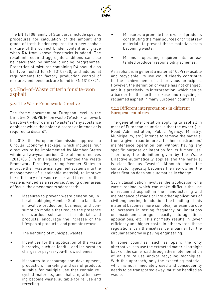

The EN 13108 family of Standards include specific procedures for calculation of the amount and grade of fresh binder required for a new asphalt mixture of the correct binder content and grade when RA from known feedstocks is added. The resultant required aggregate additions can also be calculated by simple blending programmes. Properties of mixtures containing RA should also be Type Tested to EN 13108-20, and additional requirements for factory production control of mixtures and feedstock are found in EN 13108-21.

#### 5.2 End-of-Waste criteria for site-won asphalt

#### 5.2.1 The Waste Framework Directive

The frame document at European level is the Directive 2008/98/EC on waste (Waste Framework Directive), which defines "waste" as "any substance or object which the holder discards or intends or is required to discard".

In 2018, the European Commission approved a Circular Economy Package, which includes four directives to be implemented by Member States within a two-year period. One of the directives (2018/851) in this Package amended the Waste Framework Directive, urging Member States to improve their waste management systems into the management of sustainable material, to improve the efficiency of resource use, and to ensure that waste is valued as a resource. Among other areas of focus, the amendments addressed:

- Measures to prevent waste generation, inter alia, obliging Member States to facilitate innovative production, business, and consumption models that reduce the presence of hazardous substances in materials and products, encourage the increase of the lifespan of products, and promote re-use.
- The handling of municipal wastes.
- Incentives for the application of the waste hierarchy, such as landfill and incineration charges or pay-as-you-throw schemes.
- Measures to encourage the development, production, marketing and use of products suitable for multiple use that contain recycled materials, and that are, after having become waste, suitable for re-use and recycling.
- Measures to promote the re-use of products constituting the main sources of critical raw materials to prevent those materials from becoming waste.
- Minimum operating requirements for extended producer responsibility schemes.

As asphalt is in general a material 100% re-usable and recyclable, its use would clearly contribute to the achievement of all previous principles. However, the definition of waste has not changed, and it is precisely its interpretation, which can be a barrier for the further re-use and recycling of reclaimed asphalt in many European countries.

#### 5.2.2 Different interpretations in different European countries

The general interpretation applying to asphalt in most of European countries is that the owner (i.e. Road Administration, Public Agency, Ministry, Municipality, etc.) intends to remove the material from a given road before a further construction/ maintenance operation but without having any specific purpose or intention for its further use. Therefore, the definition given by the Waste Directive automatically applies and the material is classified as "waste". Although then, the contractor typically becomes the new owner, the classification does not automatically change.

Such classification involves the application of a waste regime, which can make difficult the use of reclaimed asphalt in the manufacturing and maintenance of roads or into other applications of civil engineering. In addition, the handling of this material becomes more complex, for example due to increases in testing frequency or limitations on maximum storage capacity, storage time, applications, etc. This normally results in lower efficiency and higher costs. In other words, these regulations can themselves be a barrier for the circular economy in paving engineering.

In some countries, such as Spain, the only alternative is to use the extracted material straight back on the same road through the implementation of on-site re-use and/or recycling techniques. With this approach, only the exceeding material, which is not immediately used and consequently needs to be transported away, must be handled as waste.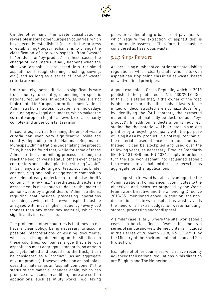

On the other hand, the waste classification is reversible in some other European countries, which have recently established (or are in the process of establishing) legal mechanisms to change the classification of site-won asphalt, from "waste" to "product" or "by-product". In these cases, the change of legal status usually happens when the site-won asphalt is processed into reclaimed asphalt (i.e. through cleaning, crushing, sieving, etc.) and as long as a series of "end-of-waste" criteria are met.

Unfortunately, these criteria can significantly vary from country to country, depending on specific national regulations. In addition, as this is a hot topic related to European priorities, most National Administrations across Europe are nowadays developing new legal documents, which makes the current European legal framework extraordinarily complex and under constant revision.

In countries, such as Germany, the end-of-waste criteria can even vary significantly inside the country, depending on the National, Regional or Municipal Administrations undertaking the project. Thus, it can be found that, while for some of these Administrations the milling process is enough to reach the end-of-waste status, others even charge contractors and asphalt plants for storing "waste". In Germany, a wide range of tests, such as binder content, ring-and-ball or aggregate composition are being already undertaken to optimise the RA content in the new mix. Nevertheless, this extensive assessment is not enough to declare the material as non-waste by a great deal of Administrations, requiring that besides processing operations (crushing, sieving, etc.) site-won asphalt must be analysed with much higher frequency (every 500 tonnes) than any other raw material, which can significantly increase costs.

The problem in other countries is that they do not have a clear policy, being necessary to assume possible interpretations of existing documents, which can change depending on the situation. In these countries, companies argue that site-won asphalt can meet aggregate standards, so as soon as it gets milled and loaded into the track, it can be considered as a "product" (as an aggregate mixture product). However, when an asphalt plant uses this material as an "asphalt component", the status of the material changes again, which can produce new issues. In addition, there are certain applications, such as utility works (e.g. laying pipes or cables along urban street pavements), which require the extraction of asphalt that is not normally assessed. Therefore, this must be considered as hazardous waste.

#### 5.2.3 Steps forward

An increasing number of countries are establishing regulations, which clearly state when site-won asphalt can stop being classified as waste, based on well-defined principles.

A good example is Czech Republic, which in 2019 published the public edict No. 130/2019 Col. In this, it is stated that, if the owner of the road is able to declare that the asphalt layers to be milled or deconstructed are not hazardous (e.g. by identifying the PAH content), the extracted material can automatically be declared as a "byproduct". In addition, a declaration is required, stating that the material will be treated in a mixing plant or by a recycling company with the purpose of using it as a by-product. It is not required that all the material is used at once or on the same road. Instead, it can be stockpiled and used over the following years, as necessary. Product Standards like EN 13108-8 and EN 13242 apply in order to turn the site-won asphalt into reclaimed asphalt for re-use into asphalt mixtures or recycled as aggregate for other applications.

This huge step forward has also advantages for the Administrations. For instance, it contributes to the objectives and measures proposed by the Waste Framework Directive and the amending Directive 2018/851 mentioned above. In addition, the nondeclaration of site-won asphalt as waste avoids the need of an extra budget for waste handling, storage, processing and/or disposal.

A similar case is Italy, where the site-won asphalt ceases to be classified as "waste" if it meets a series of simple and well-defined criteria, included in the Decree of 28 March 2018, No. 69, Art.3. by the Ministry of the Environment and Land and Sea Protection.

Examples of other countries, which have recently advanced their national regulations in this direction are Belgium and The Netherlands.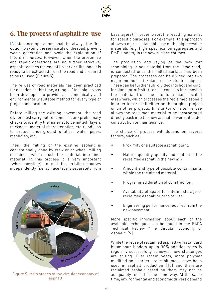

### **6. The process of asphalt re-use**

Maintenance operations shall be always the first option to extend the service life of the road, prevent waste generation and avoid the exploitation of future resources. However, when the preventive and repair operations are no further effective, asphalt reaches the end of its service life, and it is ready to be extracted from the road and prepared to be re-used (Figure 5).

The re-use of road materials has been practiced for decades. In this time, a range of techniques has been developed to provide an economically and environmentally suitable method for every type of project and location.

Before milling the existing pavement, the road owner must carry out (or commission) preliminary checks to identify the material to be milled (layers thickness, material characteristics, etc.) and also to protect underground utilities, water pipes, manholes, etc.

Then, the milling of the existing asphalt is conventionally done by crawler or wheel milling machines, which crush the material into finer material. In this process it is very important (when possible) to mill the existing courses independently (i.e. surface layers separately from



asphalt

base layers), in order to sort the resulting material for specific purposes. For example, this approach allows a more sustainable use of the higher-value materials (e.g. high-specification aggregates and PmB binders) in the new surface courses.

The production and laying of the new mix (containing or not material from the same road) is conducted once the milled surface has been prepared. The processes can be divided into two major methods: in-plant or in-situ techniques. These can be further sub-divided into hot and cold. In-plant (or off-site) re-use consists in removing the material from the site to a plant located elsewhere, which processes the reclaimed asphalt in order to re-use it either on the original project or on other projects. In-situ (or on-site) re-use allows the reclaimed material to be incorporated directly back into the new asphalt pavement under construction or maintenance.

The choice of process will depend on several factors, such as:

- Proximity of a suitable asphalt plant.
- Nature, quantity, quality and content of the reclaimed asphalt in the new mix.
- Amount and type of possible contaminants within the reclaimed material.
- Programmed duration of construction.
- Availability of space for interim storage of reclaimed asphalt prior to re-use.
- Engineering performance required from the new pavement.

More specific information about each of the available techniques can be found in the EAPA Technical Review "The Circular Economy of Asphalt" [9].

While the reuse of reclaimed asphalt with standard bituminous binders up to 30% addition rates is regularly successfully achieved, new challenges are arising. Over recent years, more polymer modified and harder grade bitumens have been used in asphalt production [15] and therefore reclaimed asphalt based on them may not be adequately reused in the same way. At the same time, environmental and economic drivers demand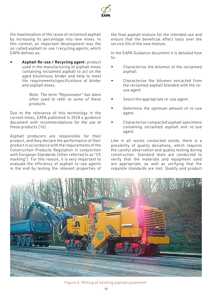

the maximisation of the reuse of reclaimed asphalt by increasing its percentage into new mixes. In this context, an important development was the so-called asphalt re-use / recycling agents, which EAPA defines as:

Asphalt Re-use / Recycling agent: product used in the manufacturing of asphalt mixes containing reclaimed asphalt to act on the aged bituminous binder and help to meet the requirements/specifications of binder and asphalt mixes.

> *Note: The term "Rejuvenator" has been often used to refer to some of these products.*

Due to the relevance of this technology in the current times, EAPA published in 2018 a guidance document with recommendations for the use of these products [16].

Asphalt producers are responsible for their product, and they declare the performance of their product in accordance with the requirements of the Construction Products Regulation in conjunction with European Standards (often referred to as "CE marking"). For this reason, it is very important to evaluate the efficiency of asphalt re-use agents in the end by testing the relevant properties of

the final asphalt mixture for the intended use and ensure that the beneficial effect lasts over the service life of the new mixture.

In the EAPA Guidance document it is detailed how to:

- Characterise the bitumen of the reclaimed asphalt.
- Characterise the bitumen extracted from the reclaimed asphalt blended with the reuse agent.
- Select the appropriate re-use agent.
- Determine the optimum amount of re-use agent.
- Characterise compacted asphalt specimens containing reclaimed asphalt and re-use agent.

Like in all works conducted onsite, there is a possibility of quality deviations, which requires the careful observation and quality testing during construction. Standard tests are conducted to verify that the materials and equipment used are appropriate, as well as verifying that the requisite standards are met. Quality and product



Figure 6. Milling of existing asphalt pavement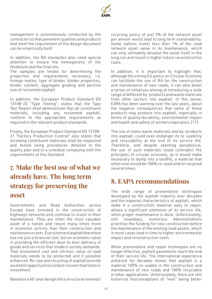

management is autonomously conducted by the contractor so that pavement qualities and products that meet the requirement of the design document can be empirically built.

In addition, the RA stockpiles also need special attention to ensure the homogeneity of the feedstock and the final mix.

The samples are tested for determining the properties and requirements necessary, i.e. foreign matter, type of binder, binder properties, binder content, aggregate grading and particle size of reclaimed asphalt.

In addition, the European Product Standard EN 13108-20 "Type Testing", states that the Type Test Report shall demonstrate that all constituent materials, including any reclaimed asphalt, conform to the appropriate requirements as required in the relevant product standards.

Finally, the European Product Standard EN 13108- 21 "Factory Production Control" also states that incoming constituent materials shall be inspected and tested using procedures detailed in the quality plan and to a schedule complying with the requirements of this Standard.

# **7. Make the best use of what we already have. The long term strategy for preserving the asset**

Governments and Road Authorities across Europe have invested in the construction of highways networks and continue to invest in their maintenance. They are often the most valuable asset of a nation and return many times more in economic activity than their construction and maintenance costs. Every tonne of asphalt therefore has not just a financial cost, but an economic value in providing the efficient door to door delivery of goods and services that modern society demands. That investment cost and intrinsic value of road materials needs to be protected and if possible enhanced. Re-use and recycling of asphalt provide excellent opportunities to best recover that historic investment.

Based on a 40-year design life a structural renewal/

recycling policy of just 3% of the network asset per annum would lead to long term sustainability. Some nations invest less than 1% of the road network asset value in its maintenance, which can only ultimately devalue the asset itself in the long run and result in higher future reconstruction costs.

In addition, it is important to highlight that, although the strong EU policy on Circular Economy can facilitate the use of RA for the construction and maintenance of new roads, it can also boost a series of initiatives aiming at introducing a wide range of different by-products and waste materials from other sectors into asphalt. In this sense, EAPA has been warning over the last years, about the negative consequences that some of these products may produce into asphalt, especially in terms of quality/durability, environmental impact and health and safety of workers/operators [17].

The use of some waste materials and by-products into asphalt, could even endanger its re-usability and recyclability at the end of its service life. Therefore, and despite seeming paradoxical, the use of such materials could contradict the principles of circular economy, as it would make necessary to dump into a landfill, a material that otherwise would be 100% re-used and/or recycled several times.

### **8. EAPA recommendations**

The wide range of preventative techniques developed by the asphalt industry over decades and the especial characteristics of asphalt, which make it a construction material easy to repair, allows a significant extension of its service life, when proper maintenance is done. Unfortunately, still nowadays, numerous Administrations prioritise the funding for new construction before the maintenance of the existing road assets, which in most cases lead in time to higher environmental impact and reconstruction costs.

When preventative and repair techniques are no longer effective, asphalt pavements reach the end of their service life. The international experience achieved for decades shows that asphalt is a material 100% re-usable in the construction and maintenance of new roads and 100% recyclable in other applications. Unfortunately, there are still historical misconceptions of "new" being better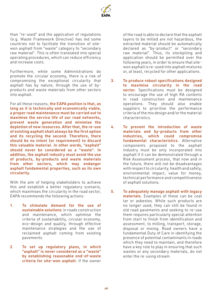

than "re-used" and the application of regulations (e.g. Waste Framework Directive) has led some countries not to facilitate the transition of sitewon asphalt from "waste" category to "secondary raw material". This is often translated into special operating procedures, which can reduce efficiency and increase costs.

Furthermore, while some Administrations do promote the circular economy, there is a risk of compromising the exceptional circularity that asphalt has by nature, through the use of byproducts and waste materials from other sectors into asphalt.

For all these reasons, the EAPA position is that, as long as it is technically and economically viable, a proper road maintenance must be carried out to maximise the service life of our road networks, prevent waste generation and minimise the depletion of new resources. After that, the re-use of existing asphalt shall always be the first option and its recycling the second. Therefore, there should be no intent (or requirement) to discard this valuable material. In other words, "asphalt" should never be considered as a "waste". In addition, the asphalt industry must avoid the use of products, by-products and waste materials from other sectors, which may endanger asphalt fundamental properties, such as its own circularity.

With the aim of helping stakeholders to achieve this and establish a better regulatory scenario, which maximises the circularity in the road sector, EAPA recommends the following actions:

- 1. To stimulate demand for the use of sustainable solutions in roads construction and maintenance, which optimise the criteria of sustainability, circular economy, eco-design and quality, through effective maintenance strategies and the use of reclaimed asphalt coming from existing pavements.
- 2. To set up regulatory plans, in which "asphalt" is never considered as a "waste" by establishing reasonable end-of-waste criteria for site-won asphalt. If the owner

of the road is able to declare that the asphalt layers to be milled are not hazardous, the extracted material should be automatically declared as "by-product" or "secondary raw material". Thus, its stockpiling and application should be permitted over the following years, in order to ensure that sitewon asphalt is re-used into asphalt mixtures or, at least, recycled for other applications.

- 3. To produce robust specifications designed to maximise circularity in the road sector. Specifications must be designed to encourage the use of high RA contents in road construction and maintenance operations. They should also enable suppliers to prioritise the performance criteria of the mix design and/or the material characteristics.
- 4. To prevent the introduction of waste materials and by-products from other industries, which could compromise fundamental characteristics. Alternative components proposed to the asphalt industry must be only incorporated into asphalt if it can be demonstrated through a Risk Assessment process, that now and in the future, there will not be disadvantages with respect to circularity, health and safety, environmental impact, value for money, technical performance and competitiveness of asphalt solutions.
- 5. To adequately manage asphalt with legacy materials. Examples of these can be coal tar or asbestos. While such products are no longer used, they can still be found in old road pavements and seeking to re-use them requires particularly special attention from start to finish from identification and assessment, to milling, transport, storage, disposal or mixing. Road owners have a fundamental Duty of Care in identifying the presence of potential contaminants in roads which they need to maintain, and therefore have a key role to play in ensuring that such wastes or any secondary materials, do not enter the re-using stream.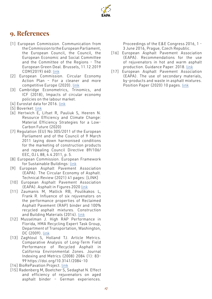### **9. References**

- [1] European Commission. Communication from the Commission to the European Parliament, the European Council, the Council, the European Economic and Social Committee and the Committee of the Regions - The European Green Deal. Brussels, 11.12.2019 COM(2019) 640: [link](https://ec.europa.eu/info/sites/info/files/european-green-deal-communication_en.pdf)
- [2] European Commission. Circular Economy Action Plan – For a cleaner and more competitive Europe (2020). [link](https://ec.europa.eu/environment/circular-economy/pdf/new_circular_economy_action_plan.pdf)
- [3] Cambridge Econometrics, Trinomics, and ICF (2018), Impacts of circular economy policies on the labour market.
- [4] Eurostat data for 2016. [link](https://ec.europa.eu/eurostat)
- [5] Boverket: [link](https://www.boverket.se/sv/byggande/hallbart-byggande-och-forvaltning/miljoindikatorer---aktuell-status/vaxthusgaser/)
- [6] Hertwich E, Lifset R, Pauliuk S, Heeren N. Resource Efficiency and Climate Change: Material Efficiency Strategies for a Low-Carbon Future (2020)
- [7] Regulation (EU) No 305/2011 of the European Parliament and of the Council of 9 March 2011 laying down harmonised conditions for the marketing of construction products and repealing Council Directive 89/106/ EEC, OJ L 88, 4.4.2011, p. 5.
- [8] European Commission. European Framework for Sustainable Buildings: [link](https://ec.europa.eu/environment/eussd/buildings.htm)
- [9] European Asphalt Pavement Association (EAPA). The Circular Economy of Asphalt. Technical Review (2021) 41 pages: [LINK]
- [10] European Asphalt Pavement Association (EAPA). Asphalt in Figures 2020 [link](https://eapa.org/download/13774/)
- [11] Zaumanis M, Mallick RB, Poulikakos L, Frank R. Influence of six rejuvenators on the performance properties of Reclaimed Asphalt Pavement (RAP) binder and 100% recycled asphalt mixtures. Construction and Building Materials (2014). [link](https://www.sciencedirect.com/science/article/abs/pii/S0950061814009854)
- [12] Musselman J. High RAP Performance in Florida, HMA Recycling Expert Task Group, Department of Transportation, Washington, DC (2009). [link](http://www.morerap.us/12-09/Musselman.High_RAP_Performance_Florida.pdf)
- [13] Zaghloul S, Holland TJ. Article Metrics. Comparative Analysis of Long-Term Field Performance of Recycled Asphalt in California Environmental Zones. Journal Indexing and Metrics (2008) 2084 (1): 83- 99 https://doi.org/10.3141/2084-10
- [14] BioRePavation Project. [link](https://biorepavation.ifsttar.fr/)
- [15] Radenberg M, Boetcher S, Sedaghat N. Effect and efficiency of rejuvenators on aged asphalt binder – German experiences.

Proceedings of the E&E Congress 2016, 1 - 3 June 2016, Prague, Czech Republic.

- [16] European Asphalt Pavement Association (EAPA). Recommendations for the use of rejuvenators in hot and warm asphalt production. Guidance Paper. 2018. [link](https://eapa.org/download/14963/)
- [17] European Asphalt Pavement Association (EAPA). The use of secondary materials, by-products and waste in asphalt mixtures. Position Paper (2020) 10 pages. [link](https://eapa.org/eapa-position-papers/)